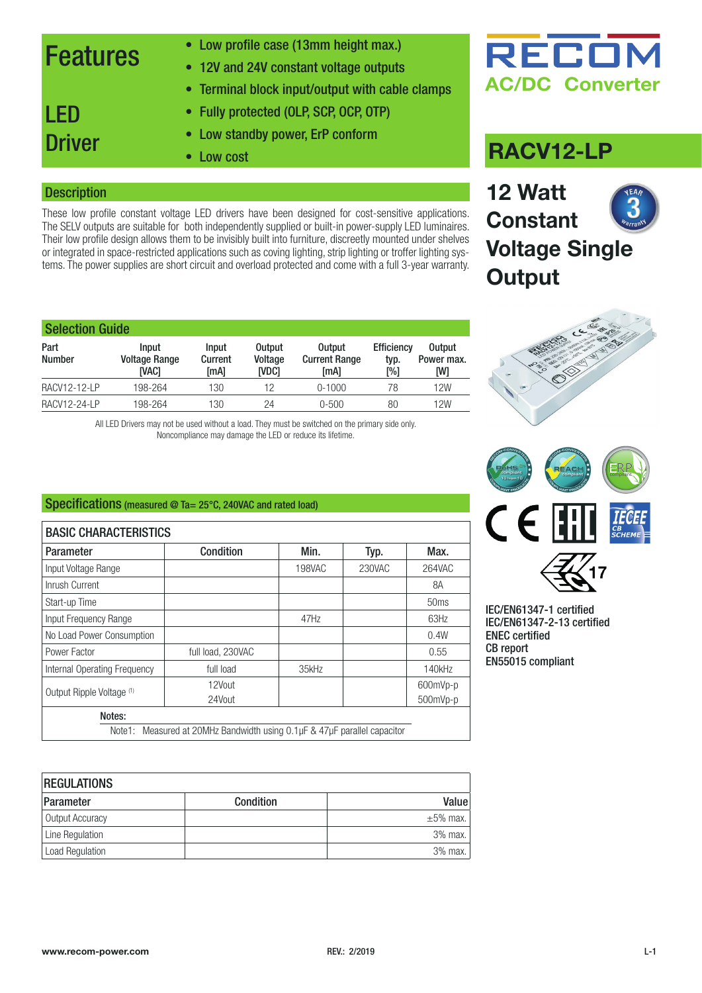### Features

- Low profile case (13mm height max.)
- 12V and 24V constant voltage outputs
- Terminal block input/output with cable clamps
- Fully protected (OLP, SCP, OCP, OTP)
- Low standby power, ErP conform
- Low cost

### **Description**

**Driver** 

LED

These low profile constant voltage LED drivers have been designed for cost-sensitive applications. The SELV outputs are suitable for both independently supplied or built-in power-supply LED luminaires. Their low profile design allows them to be invisibly built into furniture, discreetly mounted under shelves or integrated in space-restricted applications such as coving lighting, strip lighting or troffer lighting systems. The power supplies are short circuit and overload protected and come with a full 3-year warranty.

| <b>Selection Guide</b> |                                        |                                 |                                          |                                               |                                  |                                    |  |
|------------------------|----------------------------------------|---------------------------------|------------------------------------------|-----------------------------------------------|----------------------------------|------------------------------------|--|
| Part<br><b>Number</b>  | Input<br><b>Voltage Range</b><br>ivaci | Input<br><b>Current</b><br>[MA] | <b>Output</b><br>Voltage<br><b>IVDC1</b> | <b>Output</b><br><b>Current Range</b><br>[mA] | <b>Efficiency</b><br>typ.<br>[%] | <b>Output</b><br>Power max.<br>[W] |  |
| RACV12-12-LP           | 198-264                                | 130                             | 12                                       | $0-1000$                                      | 78                               | 12W                                |  |
| <b>RACV12-24-LP</b>    | 198-264                                | 130                             | 24                                       | $0 - 500$                                     | 80                               | 12W                                |  |

All LED Drivers may not be used without a load. They must be switched on the primary side only. Noncompliance may damage the LED or reduce its lifetime.

### Specifications (measured @ Ta= 25°C, 240VAC and rated load)

| <b>BASIC CHARACTERISTICS</b>                                               |                   |               |        |                  |  |
|----------------------------------------------------------------------------|-------------------|---------------|--------|------------------|--|
| Parameter                                                                  | Condition         | Min.          | Typ.   | Max.             |  |
| Input Voltage Range                                                        |                   | <b>198VAC</b> | 230VAC | 264VAC           |  |
| Inrush Current                                                             |                   |               |        | 8A               |  |
| Start-up Time                                                              |                   |               |        | 50 <sub>ms</sub> |  |
| Input Frequency Range                                                      |                   | 47Hz          |        | 63Hz             |  |
| No Load Power Consumption                                                  |                   |               |        | 0.4W             |  |
| Power Factor                                                               | full load, 230VAC |               |        | 0.55             |  |
| Internal Operating Frequency                                               | full load         | 35kHz         |        | 140kHz           |  |
| Output Ripple Voltage (1)                                                  | 12Vout            |               |        | 600mVp-p         |  |
|                                                                            | 24Vout            |               |        | 500mVp-p         |  |
| Notes:                                                                     |                   |               |        |                  |  |
| Note1: Measured at 20MHz Bandwidth using 0.1 µF & 47 µF parallel capacitor |                   |               |        |                  |  |

| <b>REGULATIONS</b>     |                  |                |  |  |
|------------------------|------------------|----------------|--|--|
| Parameter              | <b>Condition</b> | Valuel         |  |  |
| Output Accuracy        |                  | $\pm 5\%$ max. |  |  |
| Line Regulation        |                  | $3%$ max.      |  |  |
| <b>Load Regulation</b> |                  | $3%$ max.      |  |  |

## RECOI **AC/DC Converter**

### **RACV12-LP**

**12 Watt Constant Voltage Single Output**





IEC/EN61347-1 certified IEC/EN61347-2-13 certified ENEC certified CB report EN55015 compliant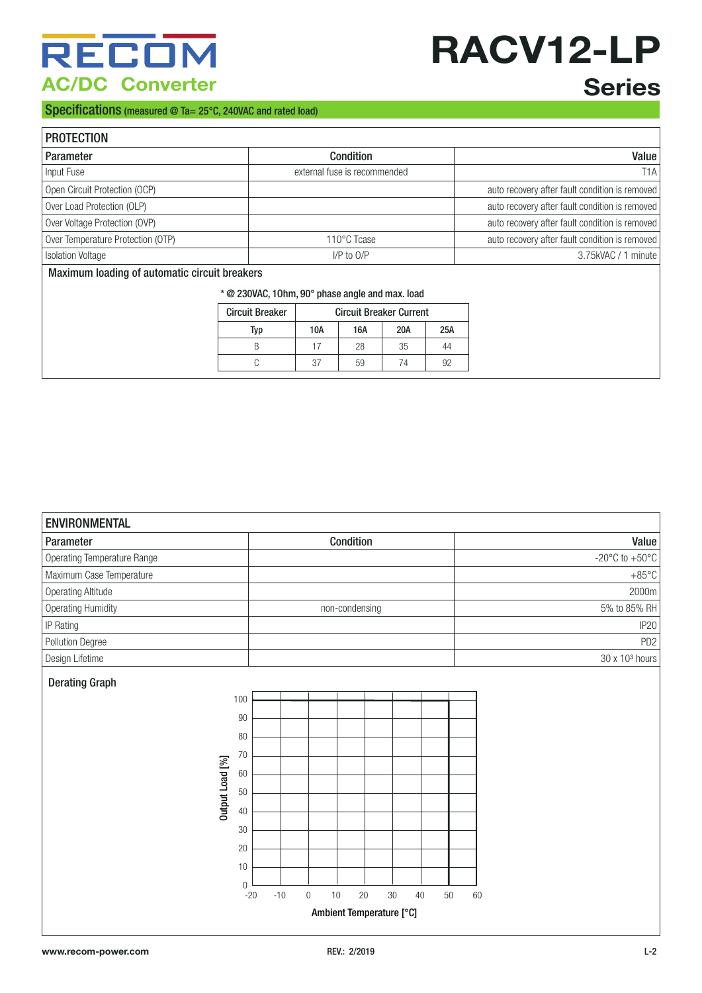## RECOM **AC/DC Converter**

## **RACV12-LP Series**

### Specifications (measured @ Ta= 25°C, 240VAC and rated load)

| <b>PROTECTION</b>                             |                              |                                                |
|-----------------------------------------------|------------------------------|------------------------------------------------|
| Parameter                                     | <b>Condition</b>             | Value                                          |
| Input Fuse                                    | external fuse is recommended | T <sub>1</sub> A                               |
| Open Circuit Protection (OCP)                 |                              | auto recovery after fault condition is removed |
| Over Load Protection (OLP)                    |                              | auto recovery after fault condition is removed |
| Over Voltage Protection (OVP)                 |                              | auto recovery after fault condition is removed |
| Over Temperature Protection (OTP)             | 110°C Tcase                  | auto recovery after fault condition is removed |
| <b>Isolation Voltage</b>                      | $I/P$ to $O/P$               | 3.75kVAC / 1 minute                            |
| Maximum loading of automatic circuit breakers |                              |                                                |

| * @ 230VAC, 10hm, 90° phase angle and max. load |  |  |  |  |
|-------------------------------------------------|--|--|--|--|
|-------------------------------------------------|--|--|--|--|

| <b>Circuit Breaker</b> | <b>Circuit Breaker Current</b> |     |     |     |
|------------------------|--------------------------------|-----|-----|-----|
| Typ                    | 10A                            | 16A | 20A | 25A |
|                        |                                | 28  | 35  | 44  |
|                        | 37                             | 59  | 7Δ  | Q2  |

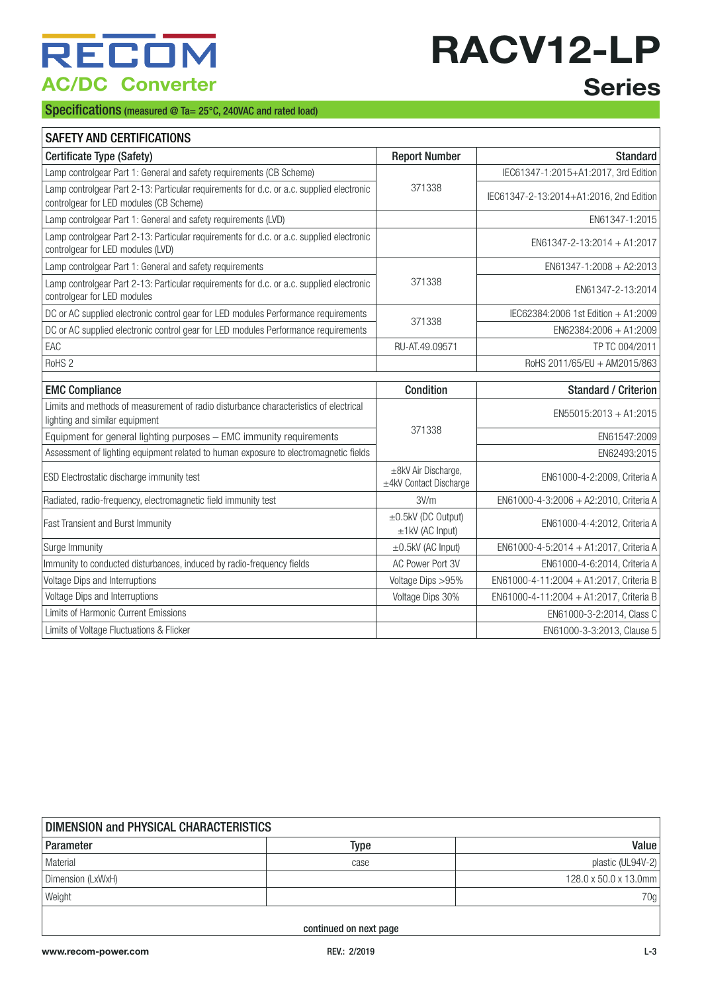# **RACV12-LP**

#### Specifications (measured @ Ta= 25°C, 240VAC and rated load)

## **Series**

| SAFETY AND CERTIFICATIONS |
|---------------------------|
|                           |

| Certificate Type (Safety)                                                                                                           | <b>Report Number</b>                          | <b>Standard</b>                         |
|-------------------------------------------------------------------------------------------------------------------------------------|-----------------------------------------------|-----------------------------------------|
| Lamp controlgear Part 1: General and safety requirements (CB Scheme)                                                                |                                               | IEC61347-1:2015+A1:2017, 3rd Edition    |
| Lamp controlgear Part 2-13: Particular requirements for d.c. or a.c. supplied electronic<br>controlgear for LED modules (CB Scheme) | 371338                                        | IEC61347-2-13:2014+A1:2016, 2nd Edition |
| Lamp controlgear Part 1: General and safety requirements (LVD)                                                                      |                                               | EN61347-1:2015                          |
| Lamp controlgear Part 2-13: Particular requirements for d.c. or a.c. supplied electronic<br>controlgear for LED modules (LVD)       |                                               | EN61347-2-13:2014 + A1:2017             |
| Lamp controlgear Part 1: General and safety requirements                                                                            |                                               | EN61347-1:2008 + A2:2013                |
| Lamp controlgear Part 2-13: Particular requirements for d.c. or a.c. supplied electronic<br>controlgear for LED modules             | 371338                                        | EN61347-2-13:2014                       |
| DC or AC supplied electronic control gear for LED modules Performance requirements                                                  | 371338                                        | IEC62384:2006 1st Edition + A1:2009     |
| DC or AC supplied electronic control gear for LED modules Performance requirements                                                  |                                               | $EN62384:2006 + A1:2009$                |
| EAC                                                                                                                                 | RU-AT.49.09571                                | TP TC 004/2011                          |
| RoHS <sub>2</sub>                                                                                                                   |                                               | RoHS 2011/65/EU + AM2015/863            |
|                                                                                                                                     |                                               |                                         |
| <b>EMC Compliance</b>                                                                                                               | Condition                                     | <b>Standard / Criterion</b>             |
| Limits and methods of measurement of radio disturbance characteristics of electrical                                                |                                               | $EN55015:2013 + A1:2015$                |
| lighting and similar equipment                                                                                                      | 371338                                        |                                         |
| Equipment for general lighting purposes - EMC immunity requirements                                                                 |                                               | EN61547:2009                            |
| Assessment of lighting equipment related to human exposure to electromagnetic fields                                                |                                               | EN62493:2015                            |
| ESD Electrostatic discharge immunity test                                                                                           | ±8kV Air Discharge,<br>±4kV Contact Discharge | EN61000-4-2:2009, Criteria A            |
| Radiated, radio-frequency, electromagnetic field immunity test                                                                      | 3V/m                                          | EN61000-4-3:2006 + A2:2010, Criteria A  |
| <b>Fast Transient and Burst Immunity</b>                                                                                            | $\pm$ 0.5kV (DC Output)<br>$±1$ kV (AC Input) | EN61000-4-4:2012, Criteria A            |
| Surge Immunity                                                                                                                      | $\pm$ 0.5kV (AC Input)                        | EN61000-4-5:2014 + A1:2017, Criteria A  |
| Immunity to conducted disturbances, induced by radio-frequency fields                                                               | AC Power Port 3V                              | EN61000-4-6:2014, Criteria A            |
| Voltage Dips and Interruptions                                                                                                      | Voltage Dips > 95%                            | EN61000-4-11:2004 + A1:2017, Criteria B |
| Voltage Dips and Interruptions                                                                                                      | Voltage Dips 30%                              | EN61000-4-11:2004 + A1:2017, Criteria B |
| Limits of Harmonic Current Emissions                                                                                                |                                               | EN61000-3-2:2014, Class C               |
| Limits of Voltage Fluctuations & Flicker                                                                                            |                                               | EN61000-3-3:2013, Clause 5              |

| DIMENSION and PHYSICAL CHARACTERISTICS |      |                       |  |  |
|----------------------------------------|------|-----------------------|--|--|
| Parameter                              | Type | Value                 |  |  |
| Material                               | case | plastic (UL94V-2)     |  |  |
| Dimension (LxWxH)                      |      | 128.0 x 50.0 x 13.0mm |  |  |
| Weight                                 |      | 70g                   |  |  |
|                                        |      |                       |  |  |